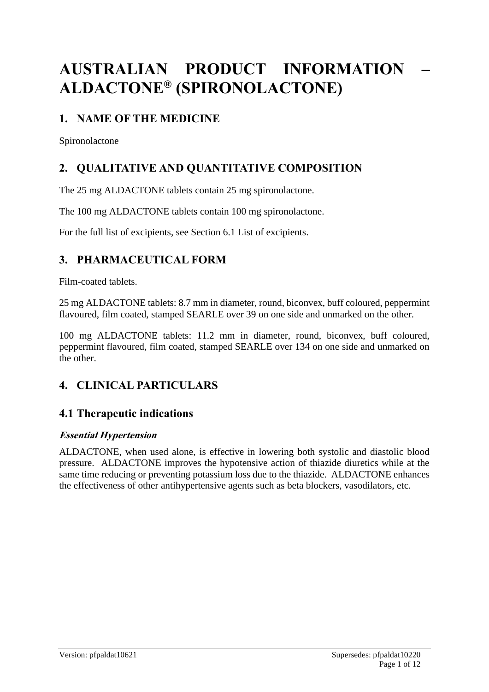# **AUSTRALIAN PRODUCT INFORMATION – ALDACTONE® (SPIRONOLACTONE)**

# **1. NAME OF THE MEDICINE**

Spironolactone

# **2. QUALITATIVE AND QUANTITATIVE COMPOSITION**

The 25 mg ALDACTONE tablets contain 25 mg spironolactone.

The 100 mg ALDACTONE tablets contain 100 mg spironolactone.

For the full list of excipients, see Section 6.1 List of excipients.

# **3. PHARMACEUTICAL FORM**

Film-coated tablets.

25 mg ALDACTONE tablets: 8.7 mm in diameter, round, biconvex, buff coloured, peppermint flavoured, film coated, stamped SEARLE over 39 on one side and unmarked on the other.

100 mg ALDACTONE tablets: 11.2 mm in diameter, round, biconvex, buff coloured, peppermint flavoured, film coated, stamped SEARLE over 134 on one side and unmarked on the other.

# **4. CLINICAL PARTICULARS**

# **4.1 Therapeutic indications**

### **Essential Hypertension**

ALDACTONE, when used alone, is effective in lowering both systolic and diastolic blood pressure. ALDACTONE improves the hypotensive action of thiazide diuretics while at the same time reducing or preventing potassium loss due to the thiazide. ALDACTONE enhances the effectiveness of other antihypertensive agents such as beta blockers, vasodilators, etc.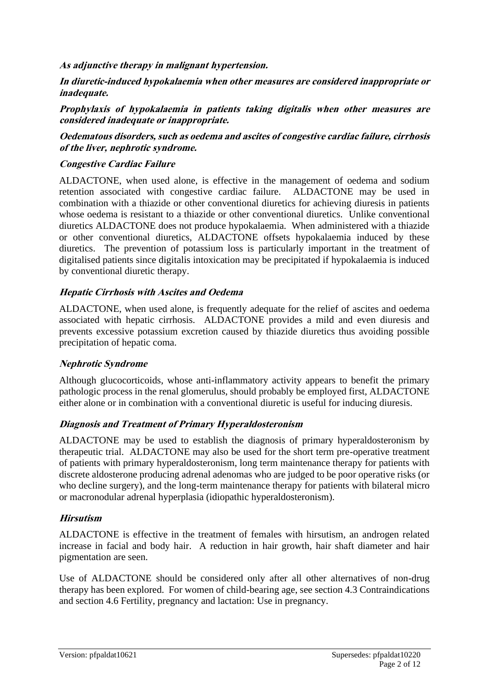**As adjunctive therapy in malignant hypertension.**

**In diuretic-induced hypokalaemia when other measures are considered inappropriate or inadequate.**

**Prophylaxis of hypokalaemia in patients taking digitalis when other measures are considered inadequate or inappropriate.**

#### **Oedematous disorders, such as oedema and ascites of congestive cardiac failure, cirrhosis of the liver, nephrotic syndrome.**

#### **Congestive Cardiac Failure**

ALDACTONE, when used alone, is effective in the management of oedema and sodium retention associated with congestive cardiac failure. ALDACTONE may be used in combination with a thiazide or other conventional diuretics for achieving diuresis in patients whose oedema is resistant to a thiazide or other conventional diuretics. Unlike conventional diuretics ALDACTONE does not produce hypokalaemia. When administered with a thiazide or other conventional diuretics, ALDACTONE offsets hypokalaemia induced by these diuretics. The prevention of potassium loss is particularly important in the treatment of digitalised patients since digitalis intoxication may be precipitated if hypokalaemia is induced by conventional diuretic therapy.

#### **Hepatic Cirrhosis with Ascites and Oedema**

ALDACTONE, when used alone, is frequently adequate for the relief of ascites and oedema associated with hepatic cirrhosis. ALDACTONE provides a mild and even diuresis and prevents excessive potassium excretion caused by thiazide diuretics thus avoiding possible precipitation of hepatic coma.

#### **Nephrotic Syndrome**

Although glucocorticoids, whose anti-inflammatory activity appears to benefit the primary pathologic process in the renal glomerulus, should probably be employed first, ALDACTONE either alone or in combination with a conventional diuretic is useful for inducing diuresis.

#### **Diagnosis and Treatment of Primary Hyperaldosteronism**

ALDACTONE may be used to establish the diagnosis of primary hyperaldosteronism by therapeutic trial. ALDACTONE may also be used for the short term pre-operative treatment of patients with primary hyperaldosteronism, long term maintenance therapy for patients with discrete aldosterone producing adrenal adenomas who are judged to be poor operative risks (or who decline surgery), and the long-term maintenance therapy for patients with bilateral micro or macronodular adrenal hyperplasia (idiopathic hyperaldosteronism).

#### **Hirsutism**

ALDACTONE is effective in the treatment of females with hirsutism, an androgen related increase in facial and body hair. A reduction in hair growth, hair shaft diameter and hair pigmentation are seen.

Use of ALDACTONE should be considered only after all other alternatives of non-drug therapy has been explored. For women of child-bearing age, see section 4.3 Contraindications and section 4.6 Fertility, pregnancy and lactation: Use in pregnancy.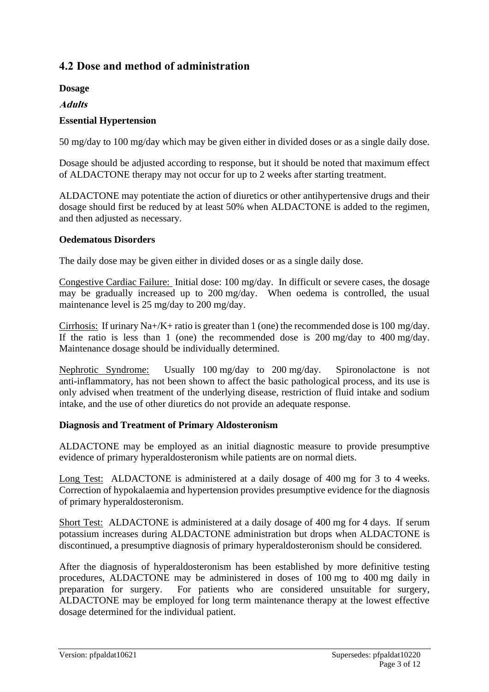### **4.2 Dose and method of administration**

**Dosage**

**Adults**

#### **Essential Hypertension**

50 mg/day to 100 mg/day which may be given either in divided doses or as a single daily dose.

Dosage should be adjusted according to response, but it should be noted that maximum effect of ALDACTONE therapy may not occur for up to 2 weeks after starting treatment.

ALDACTONE may potentiate the action of diuretics or other antihypertensive drugs and their dosage should first be reduced by at least 50% when ALDACTONE is added to the regimen, and then adjusted as necessary.

#### **Oedematous Disorders**

The daily dose may be given either in divided doses or as a single daily dose.

Congestive Cardiac Failure: Initial dose: 100 mg/day. In difficult or severe cases, the dosage may be gradually increased up to 200 mg/day. When oedema is controlled, the usual maintenance level is 25 mg/day to 200 mg/day.

Cirrhosis: If urinary Na+/K+ ratio is greater than 1 (one) the recommended dose is 100 mg/day. If the ratio is less than 1 (one) the recommended dose is 200 mg/day to 400 mg/day. Maintenance dosage should be individually determined.

Nephrotic Syndrome: Usually 100 mg/day to 200 mg/day. Spironolactone is not anti-inflammatory, has not been shown to affect the basic pathological process, and its use is only advised when treatment of the underlying disease, restriction of fluid intake and sodium intake, and the use of other diuretics do not provide an adequate response.

#### **Diagnosis and Treatment of Primary Aldosteronism**

ALDACTONE may be employed as an initial diagnostic measure to provide presumptive evidence of primary hyperaldosteronism while patients are on normal diets.

Long Test: ALDACTONE is administered at a daily dosage of 400 mg for 3 to 4 weeks. Correction of hypokalaemia and hypertension provides presumptive evidence for the diagnosis of primary hyperaldosteronism.

Short Test: ALDACTONE is administered at a daily dosage of 400 mg for 4 days. If serum potassium increases during ALDACTONE administration but drops when ALDACTONE is discontinued, a presumptive diagnosis of primary hyperaldosteronism should be considered.

After the diagnosis of hyperaldosteronism has been established by more definitive testing procedures, ALDACTONE may be administered in doses of 100 mg to 400 mg daily in preparation for surgery. For patients who are considered unsuitable for surgery, ALDACTONE may be employed for long term maintenance therapy at the lowest effective dosage determined for the individual patient.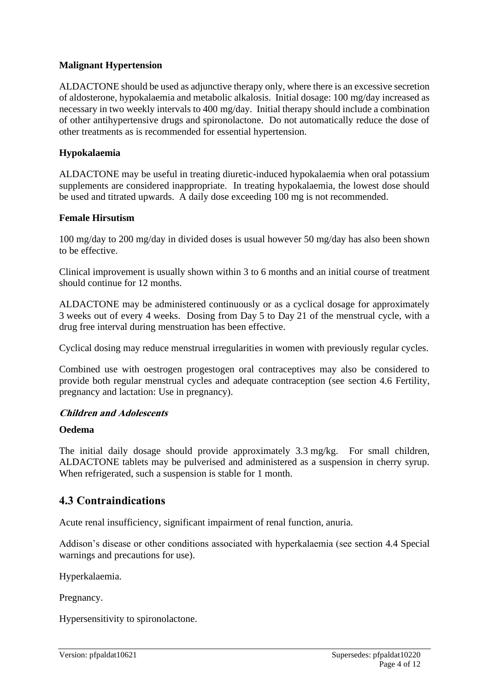#### **Malignant Hypertension**

ALDACTONE should be used as adjunctive therapy only, where there is an excessive secretion of aldosterone, hypokalaemia and metabolic alkalosis. Initial dosage: 100 mg/day increased as necessary in two weekly intervals to 400 mg/day. Initial therapy should include a combination of other antihypertensive drugs and spironolactone. Do not automatically reduce the dose of other treatments as is recommended for essential hypertension.

#### **Hypokalaemia**

ALDACTONE may be useful in treating diuretic-induced hypokalaemia when oral potassium supplements are considered inappropriate. In treating hypokalaemia, the lowest dose should be used and titrated upwards. A daily dose exceeding 100 mg is not recommended.

#### **Female Hirsutism**

100 mg/day to 200 mg/day in divided doses is usual however 50 mg/day has also been shown to be effective.

Clinical improvement is usually shown within 3 to 6 months and an initial course of treatment should continue for 12 months.

ALDACTONE may be administered continuously or as a cyclical dosage for approximately 3 weeks out of every 4 weeks. Dosing from Day 5 to Day 21 of the menstrual cycle, with a drug free interval during menstruation has been effective.

Cyclical dosing may reduce menstrual irregularities in women with previously regular cycles.

Combined use with oestrogen progestogen oral contraceptives may also be considered to provide both regular menstrual cycles and adequate contraception (see section 4.6 Fertility, pregnancy and lactation: Use in pregnancy).

#### **Children and Adolescents**

#### **Oedema**

The initial daily dosage should provide approximately 3.3 mg/kg. For small children, ALDACTONE tablets may be pulverised and administered as a suspension in cherry syrup. When refrigerated, such a suspension is stable for 1 month.

#### **4.3 Contraindications**

Acute renal insufficiency, significant impairment of renal function, anuria.

Addison's disease or other conditions associated with hyperkalaemia (see section 4.4 Special warnings and precautions for use).

Hyperkalaemia.

Pregnancy.

Hypersensitivity to spironolactone.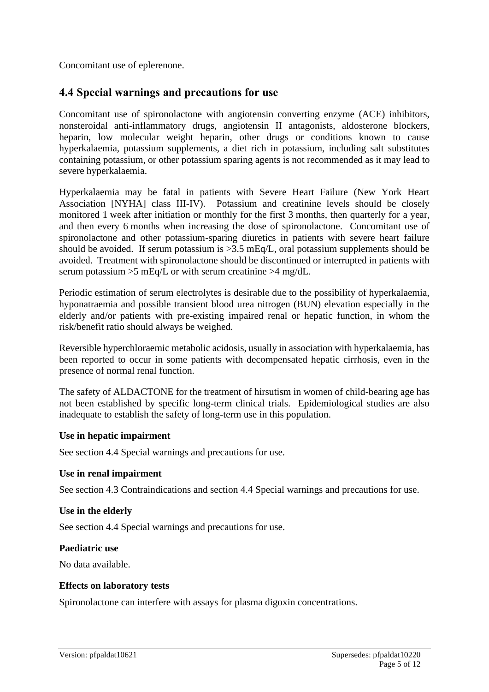Concomitant use of eplerenone.

### **4.4 Special warnings and precautions for use**

Concomitant use of spironolactone with angiotensin converting enzyme (ACE) inhibitors, nonsteroidal anti-inflammatory drugs, angiotensin II antagonists, aldosterone blockers, heparin, low molecular weight heparin, other drugs or conditions known to cause hyperkalaemia, potassium supplements, a diet rich in potassium, including salt substitutes containing potassium, or other potassium sparing agents is not recommended as it may lead to severe hyperkalaemia.

Hyperkalaemia may be fatal in patients with Severe Heart Failure (New York Heart Association [NYHA] class III-IV). Potassium and creatinine levels should be closely monitored 1 week after initiation or monthly for the first 3 months, then quarterly for a year, and then every 6 months when increasing the dose of spironolactone. Concomitant use of spironolactone and other potassium-sparing diuretics in patients with severe heart failure should be avoided. If serum potassium is >3.5 mEq/L, oral potassium supplements should be avoided. Treatment with spironolactone should be discontinued or interrupted in patients with serum potassium  $>5$  mEq/L or with serum creatinine  $>4$  mg/dL.

Periodic estimation of serum electrolytes is desirable due to the possibility of hyperkalaemia, hyponatraemia and possible transient blood urea nitrogen (BUN) elevation especially in the elderly and/or patients with pre-existing impaired renal or hepatic function, in whom the risk/benefit ratio should always be weighed.

Reversible hyperchloraemic metabolic acidosis, usually in association with hyperkalaemia, has been reported to occur in some patients with decompensated hepatic cirrhosis, even in the presence of normal renal function.

The safety of ALDACTONE for the treatment of hirsutism in women of child-bearing age has not been established by specific long-term clinical trials. Epidemiological studies are also inadequate to establish the safety of long-term use in this population.

#### **Use in hepatic impairment**

See section 4.4 Special warnings and precautions for use.

#### **Use in renal impairment**

See section 4.3 Contraindications and section 4.4 Special warnings and precautions for use.

#### **Use in the elderly**

See section 4.4 Special warnings and precautions for use.

#### **Paediatric use**

No data available.

#### **Effects on laboratory tests**

Spironolactone can interfere with assays for plasma digoxin concentrations.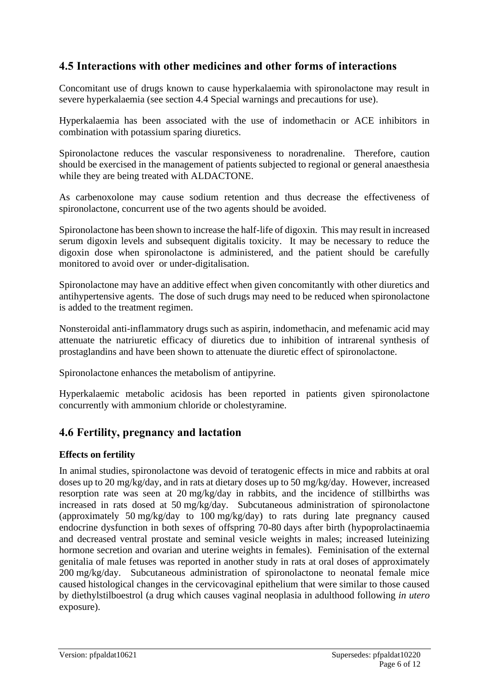### **4.5 Interactions with other medicines and other forms of interactions**

Concomitant use of drugs known to cause hyperkalaemia with spironolactone may result in severe hyperkalaemia (see section 4.4 Special warnings and precautions for use).

Hyperkalaemia has been associated with the use of indomethacin or ACE inhibitors in combination with potassium sparing diuretics.

Spironolactone reduces the vascular responsiveness to noradrenaline. Therefore, caution should be exercised in the management of patients subjected to regional or general anaesthesia while they are being treated with ALDACTONE.

As carbenoxolone may cause sodium retention and thus decrease the effectiveness of spironolactone, concurrent use of the two agents should be avoided.

Spironolactone has been shown to increase the half-life of digoxin. This may result in increased serum digoxin levels and subsequent digitalis toxicity. It may be necessary to reduce the digoxin dose when spironolactone is administered, and the patient should be carefully monitored to avoid over or under-digitalisation.

Spironolactone may have an additive effect when given concomitantly with other diuretics and antihypertensive agents. The dose of such drugs may need to be reduced when spironolactone is added to the treatment regimen.

Nonsteroidal anti-inflammatory drugs such as aspirin, indomethacin, and mefenamic acid may attenuate the natriuretic efficacy of diuretics due to inhibition of intrarenal synthesis of prostaglandins and have been shown to attenuate the diuretic effect of spironolactone.

Spironolactone enhances the metabolism of antipyrine.

Hyperkalaemic metabolic acidosis has been reported in patients given spironolactone concurrently with ammonium chloride or cholestyramine.

### **4.6 Fertility, pregnancy and lactation**

#### **Effects on fertility**

In animal studies, spironolactone was devoid of teratogenic effects in mice and rabbits at oral doses up to 20 mg/kg/day, and in rats at dietary doses up to 50 mg/kg/day. However, increased resorption rate was seen at 20 mg/kg/day in rabbits, and the incidence of stillbirths was increased in rats dosed at 50 mg/kg/day. Subcutaneous administration of spironolactone (approximately 50 mg/kg/day to 100 mg/kg/day) to rats during late pregnancy caused endocrine dysfunction in both sexes of offspring 70-80 days after birth (hypoprolactinaemia and decreased ventral prostate and seminal vesicle weights in males; increased luteinizing hormone secretion and ovarian and uterine weights in females). Feminisation of the external genitalia of male fetuses was reported in another study in rats at oral doses of approximately 200 mg/kg/day. Subcutaneous administration of spironolactone to neonatal female mice caused histological changes in the cervicovaginal epithelium that were similar to those caused by diethylstilboestrol (a drug which causes vaginal neoplasia in adulthood following *in utero* exposure).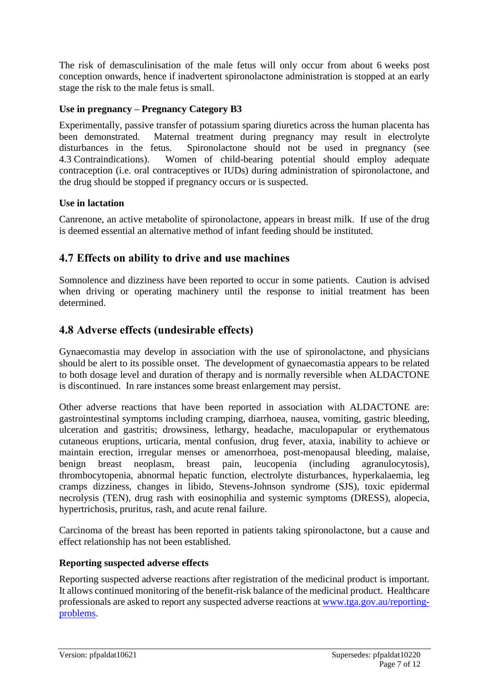The risk of demasculinisation of the male fetus will only occur from about 6 weeks post conception onwards, hence if inadvertent spironolactone administration is stopped at an early stage the risk to the male fetus is small.

#### **Use in pregnancy – Pregnancy Category B3**

Experimentally, passive transfer of potassium sparing diuretics across the human placenta has been demonstrated. Maternal treatment during pregnancy may result in electrolyte disturbances in the fetus. Spironolactone should not be used in pregnancy (see 4.3 Contraindications). Women of child-bearing potential should employ adequate contraception (i.e. oral contraceptives or IUDs) during administration of spironolactone, and the drug should be stopped if pregnancy occurs or is suspected.

#### **Use in lactation**

Canrenone, an active metabolite of spironolactone, appears in breast milk. If use of the drug is deemed essential an alternative method of infant feeding should be instituted.

### **4.7 Effects on ability to drive and use machines**

Somnolence and dizziness have been reported to occur in some patients. Caution is advised when driving or operating machinery until the response to initial treatment has been determined.

### **4.8 Adverse effects (undesirable effects)**

Gynaecomastia may develop in association with the use of spironolactone, and physicians should be alert to its possible onset. The development of gynaecomastia appears to be related to both dosage level and duration of therapy and is normally reversible when ALDACTONE is discontinued. In rare instances some breast enlargement may persist.

Other adverse reactions that have been reported in association with ALDACTONE are: gastrointestinal symptoms including cramping, diarrhoea, nausea, vomiting, gastric bleeding, ulceration and gastritis; drowsiness, lethargy, headache, maculopapular or erythematous cutaneous eruptions, urticaria, mental confusion, drug fever, ataxia, inability to achieve or maintain erection, irregular menses or amenorrhoea, post-menopausal bleeding, malaise, benign breast neoplasm, breast pain, leucopenia (including agranulocytosis), thrombocytopenia, abnormal hepatic function, electrolyte disturbances, hyperkalaemia, leg cramps dizziness, changes in libido, Stevens-Johnson syndrome (SJS), toxic epidermal necrolysis (TEN), drug rash with eosinophilia and systemic symptoms (DRESS), alopecia, hypertrichosis, pruritus, rash, and acute renal failure.

Carcinoma of the breast has been reported in patients taking spironolactone, but a cause and effect relationship has not been established.

#### **Reporting suspected adverse effects**

Reporting suspected adverse reactions after registration of the medicinal product is important. It allows continued monitoring of the benefit-risk balance of the medicinal product. Healthcare professionals are asked to report any suspected adverse reactions at [www.tga.gov.au/reporting](http://www.tga.gov.au/reporting-problems)[problems.](http://www.tga.gov.au/reporting-problems)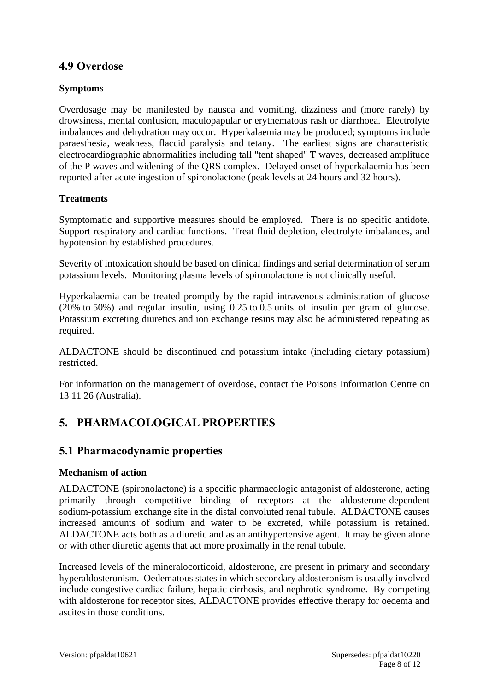### **4.9 Overdose**

#### **Symptoms**

Overdosage may be manifested by nausea and vomiting, dizziness and (more rarely) by drowsiness, mental confusion, maculopapular or erythematous rash or diarrhoea. Electrolyte imbalances and dehydration may occur. Hyperkalaemia may be produced; symptoms include paraesthesia, weakness, flaccid paralysis and tetany. The earliest signs are characteristic electrocardiographic abnormalities including tall "tent shaped" T waves, decreased amplitude of the P waves and widening of the QRS complex. Delayed onset of hyperkalaemia has been reported after acute ingestion of spironolactone (peak levels at 24 hours and 32 hours).

#### **Treatments**

Symptomatic and supportive measures should be employed. There is no specific antidote. Support respiratory and cardiac functions. Treat fluid depletion, electrolyte imbalances, and hypotension by established procedures.

Severity of intoxication should be based on clinical findings and serial determination of serum potassium levels. Monitoring plasma levels of spironolactone is not clinically useful.

Hyperkalaemia can be treated promptly by the rapid intravenous administration of glucose (20% to 50%) and regular insulin, using 0.25 to 0.5 units of insulin per gram of glucose. Potassium excreting diuretics and ion exchange resins may also be administered repeating as required.

ALDACTONE should be discontinued and potassium intake (including dietary potassium) restricted.

For information on the management of overdose, contact the Poisons Information Centre on 13 11 26 (Australia).

### **5. PHARMACOLOGICAL PROPERTIES**

### **5.1 Pharmacodynamic properties**

#### **Mechanism of action**

ALDACTONE (spironolactone) is a specific pharmacologic antagonist of aldosterone, acting primarily through competitive binding of receptors at the aldosterone-dependent sodium-potassium exchange site in the distal convoluted renal tubule. ALDACTONE causes increased amounts of sodium and water to be excreted, while potassium is retained. ALDACTONE acts both as a diuretic and as an antihypertensive agent. It may be given alone or with other diuretic agents that act more proximally in the renal tubule.

Increased levels of the mineralocorticoid, aldosterone, are present in primary and secondary hyperaldosteronism. Oedematous states in which secondary aldosteronism is usually involved include congestive cardiac failure, hepatic cirrhosis, and nephrotic syndrome. By competing with aldosterone for receptor sites, ALDACTONE provides effective therapy for oedema and ascites in those conditions.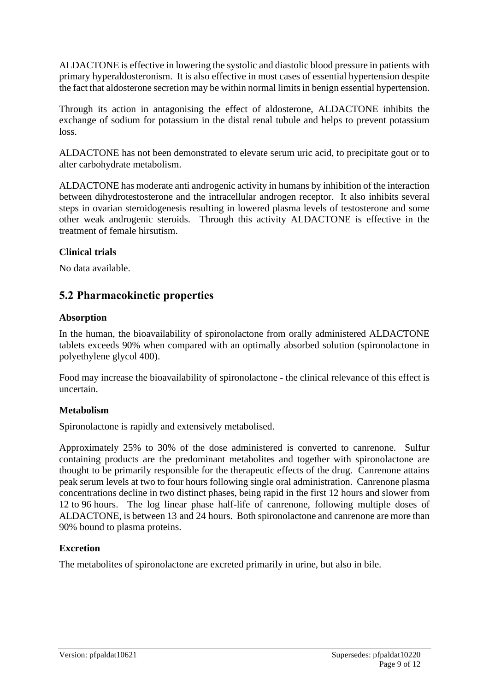ALDACTONE is effective in lowering the systolic and diastolic blood pressure in patients with primary hyperaldosteronism. It is also effective in most cases of essential hypertension despite the fact that aldosterone secretion may be within normal limits in benign essential hypertension.

Through its action in antagonising the effect of aldosterone, ALDACTONE inhibits the exchange of sodium for potassium in the distal renal tubule and helps to prevent potassium loss.

ALDACTONE has not been demonstrated to elevate serum uric acid, to precipitate gout or to alter carbohydrate metabolism.

ALDACTONE has moderate anti androgenic activity in humans by inhibition of the interaction between dihydrotestosterone and the intracellular androgen receptor. It also inhibits several steps in ovarian steroidogenesis resulting in lowered plasma levels of testosterone and some other weak androgenic steroids. Through this activity ALDACTONE is effective in the treatment of female hirsutism.

#### **Clinical trials**

No data available.

### **5.2 Pharmacokinetic properties**

#### **Absorption**

In the human, the bioavailability of spironolactone from orally administered ALDACTONE tablets exceeds 90% when compared with an optimally absorbed solution (spironolactone in polyethylene glycol 400).

Food may increase the bioavailability of spironolactone - the clinical relevance of this effect is uncertain.

#### **Metabolism**

Spironolactone is rapidly and extensively metabolised.

Approximately 25% to 30% of the dose administered is converted to canrenone. Sulfur containing products are the predominant metabolites and together with spironolactone are thought to be primarily responsible for the therapeutic effects of the drug. Canrenone attains peak serum levels at two to four hours following single oral administration. Canrenone plasma concentrations decline in two distinct phases, being rapid in the first 12 hours and slower from 12 to 96 hours. The log linear phase half-life of canrenone, following multiple doses of ALDACTONE, is between 13 and 24 hours. Both spironolactone and canrenone are more than 90% bound to plasma proteins.

#### **Excretion**

The metabolites of spironolactone are excreted primarily in urine, but also in bile.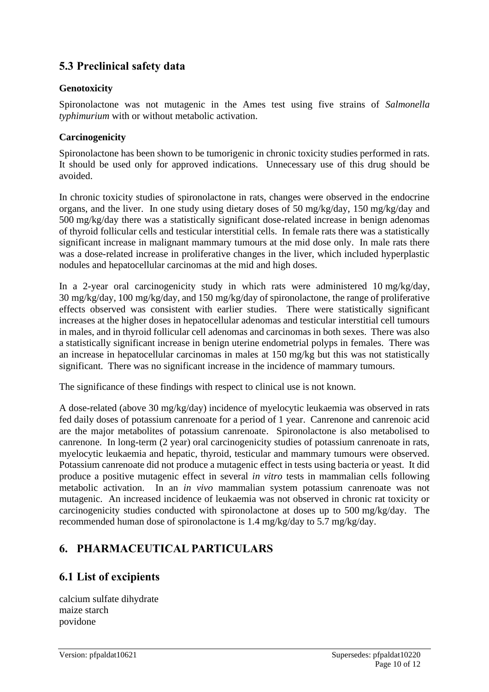# **5.3 Preclinical safety data**

#### **Genotoxicity**

Spironolactone was not mutagenic in the Ames test using five strains of *Salmonella typhimurium* with or without metabolic activation.

#### **Carcinogenicity**

Spironolactone has been shown to be tumorigenic in chronic toxicity studies performed in rats. It should be used only for approved indications. Unnecessary use of this drug should be avoided.

In chronic toxicity studies of spironolactone in rats, changes were observed in the endocrine organs, and the liver. In one study using dietary doses of 50 mg/kg/day, 150 mg/kg/day and 500 mg/kg/day there was a statistically significant dose-related increase in benign adenomas of thyroid follicular cells and testicular interstitial cells. In female rats there was a statistically significant increase in malignant mammary tumours at the mid dose only. In male rats there was a dose-related increase in proliferative changes in the liver, which included hyperplastic nodules and hepatocellular carcinomas at the mid and high doses.

In a 2-year oral carcinogenicity study in which rats were administered 10 mg/kg/day, 30 mg/kg/day, 100 mg/kg/day, and 150 mg/kg/day of spironolactone, the range of proliferative effects observed was consistent with earlier studies. There were statistically significant increases at the higher doses in hepatocellular adenomas and testicular interstitial cell tumours in males, and in thyroid follicular cell adenomas and carcinomas in both sexes. There was also a statistically significant increase in benign uterine endometrial polyps in females. There was an increase in hepatocellular carcinomas in males at 150 mg/kg but this was not statistically significant. There was no significant increase in the incidence of mammary tumours.

The significance of these findings with respect to clinical use is not known.

A dose-related (above 30 mg/kg/day) incidence of myelocytic leukaemia was observed in rats fed daily doses of potassium canrenoate for a period of 1 year. Canrenone and canrenoic acid are the major metabolites of potassium canrenoate. Spironolactone is also metabolised to canrenone. In long-term (2 year) oral carcinogenicity studies of potassium canrenoate in rats, myelocytic leukaemia and hepatic, thyroid, testicular and mammary tumours were observed. Potassium canrenoate did not produce a mutagenic effect in tests using bacteria or yeast. It did produce a positive mutagenic effect in several *in vitro* tests in mammalian cells following metabolic activation. In an *in vivo* mammalian system potassium canrenoate was not mutagenic. An increased incidence of leukaemia was not observed in chronic rat toxicity or carcinogenicity studies conducted with spironolactone at doses up to 500 mg/kg/day. The recommended human dose of spironolactone is 1.4 mg/kg/day to 5.7 mg/kg/day.

### **6. PHARMACEUTICAL PARTICULARS**

### **6.1 List of excipients**

calcium sulfate dihydrate maize starch povidone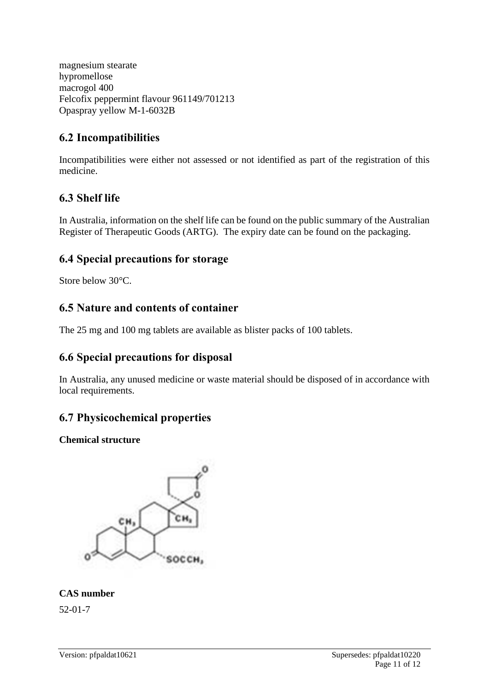magnesium stearate hypromellose macrogol 400 Felcofix peppermint flavour 961149/701213 Opaspray yellow M-1-6032B

### **6.2 Incompatibilities**

Incompatibilities were either not assessed or not identified as part of the registration of this medicine.

# **6.3 Shelf life**

In Australia, information on the shelf life can be found on the public summary of the Australian Register of Therapeutic Goods (ARTG). The expiry date can be found on the packaging.

### **6.4 Special precautions for storage**

Store below 30°C.

### **6.5 Nature and contents of container**

The 25 mg and 100 mg tablets are available as blister packs of 100 tablets.

### **6.6 Special precautions for disposal**

In Australia, any unused medicine or waste material should be disposed of in accordance with local requirements.

# **6.7 Physicochemical properties**

### **Chemical structure**



### **CAS number**

52-01-7